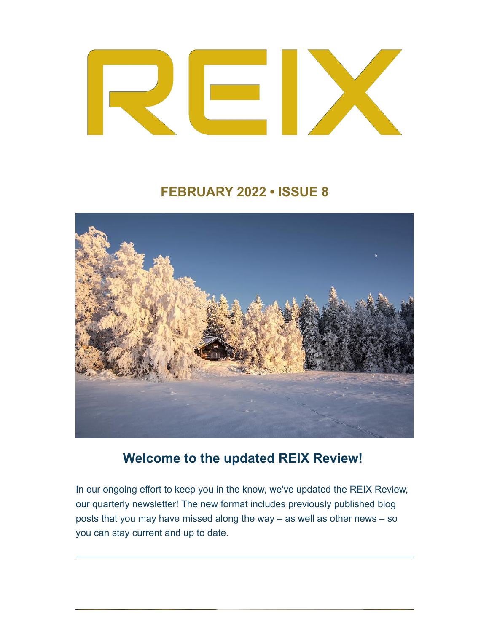

## **FEBRUARY 2022 • ISSUE 8**



# **Welcome to the updated REIX Review!**

In our ongoing effort to keep you in the know, we've updated the REIX Review, our quarterly newsletter! The new format includes previously published blog posts that you may have missed along the way – as well as other news – so you can stay current and up to date.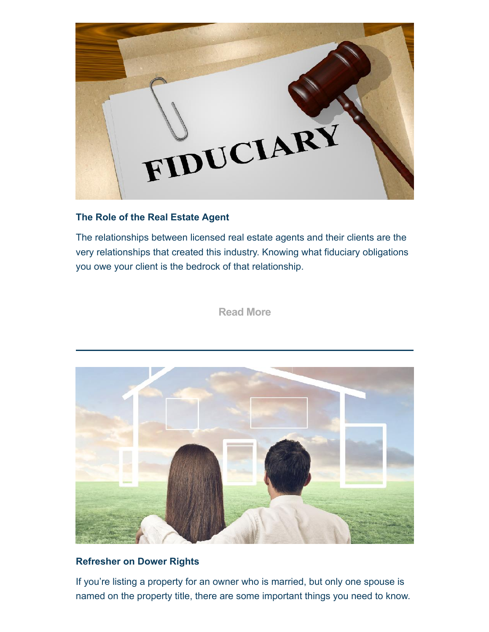

#### **The Role of the Real Estate Agent**

The relationships between licensed real estate agents and their clients are the very relationships that created this industry. Knowing what fiduciary obligations you owe your client is the bedrock of that relationship.

**Read More**



#### **Refresher on Dower Rights**

If you're listing a property for an owner who is married, but only one spouse is named on the property title, there are some important things you need to know.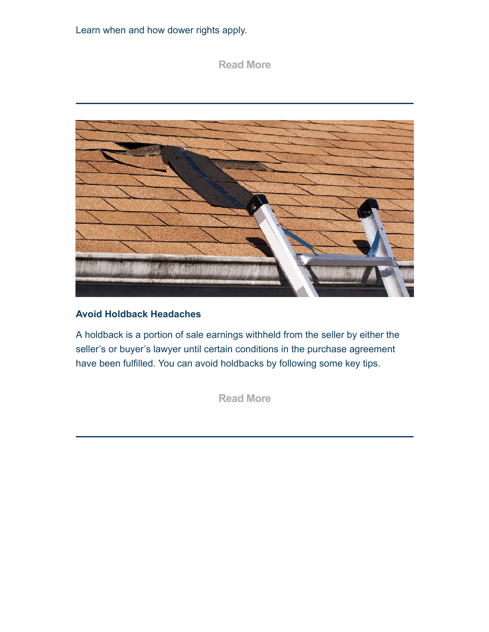Learn when and how dower rights apply.

### **Read More**



#### **Avoid Holdback Headaches**

A holdback is a portion of sale earnings withheld from the seller by either the seller's or buyer's lawyer until certain conditions in the purchase agreement have been fulfilled. You can avoid holdbacks by following some key tips.

**Read More**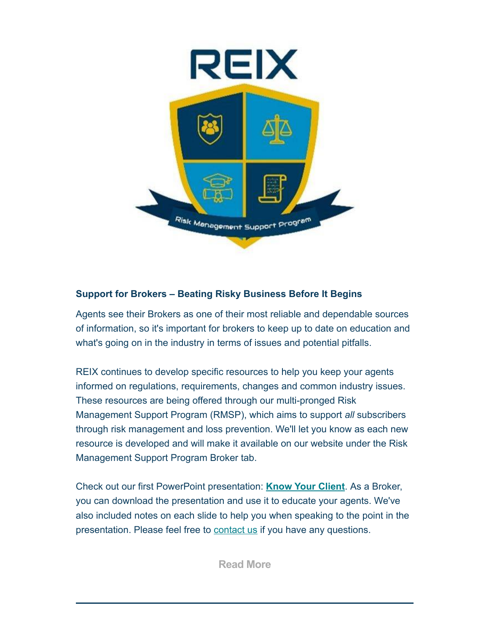

#### **Support for Brokers – Beating Risky Business Before It Begins**

Agents see their Brokers as one of their most reliable and dependable sources of information, so it's important for brokers to keep up to date on education and what's going on in the industry in terms of issues and potential pitfalls.

REIX continues to develop specific resources to help you keep your agents informed on regulations, requirements, changes and common industry issues. These resources are being offered through our multi-pronged Risk Management Support Program (RMSP), which aims to support *all* subscribers through risk management and loss prevention. We'll let you know as each new resource is developed and will make it available on our website under the Risk Management Support Program Broker tab.

Check out our first PowerPoint presentation: **Know Your Client**. As a Broker, you can download the presentation and use it to educate your agents. We've also included notes on each slide to help you when speaking to the point in the presentation. Please feel free to **contact us** if you have any questions.

**Read More**